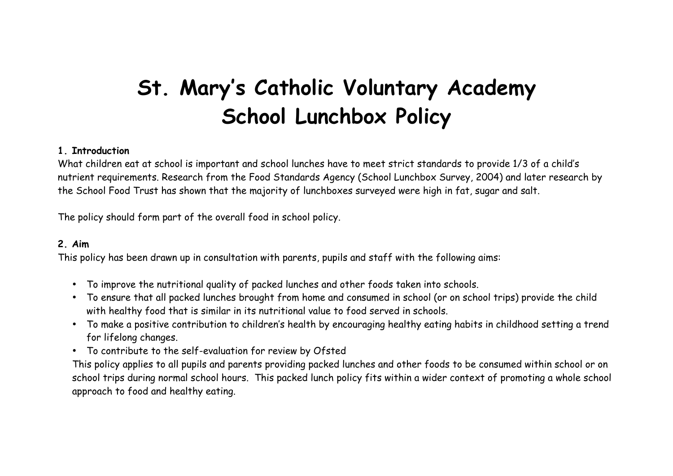# **St. Mary's Catholic Voluntary Academy School Lunchbox Policy**

#### **1. Introduction**

What children eat at school is important and school lunches have to meet strict standards to provide 1/3 of a child's nutrient requirements. Research from the Food Standards Agency (School Lunchbox Survey, 2004) and later research by the School Food Trust has shown that the majority of lunchboxes surveyed were high in fat, sugar and salt.

The policy should form part of the overall food in school policy.

# **2. Aim**

This policy has been drawn up in consultation with parents, pupils and staff with the following aims:

- To improve the nutritional quality of packed lunches and other foods taken into schools.
- To ensure that all packed lunches brought from home and consumed in school (or on school trips) provide the child with healthy food that is similar in its nutritional value to food served in schools.
- To make a positive contribution to children's health by encouraging healthy eating habits in childhood setting a trend for lifelong changes.
- To contribute to the self-evaluation for review by Ofsted

This policy applies to all pupils and parents providing packed lunches and other foods to be consumed within school or on school trips during normal school hours. This packed lunch policy fits within a wider context of promoting a whole school approach to food and healthy eating.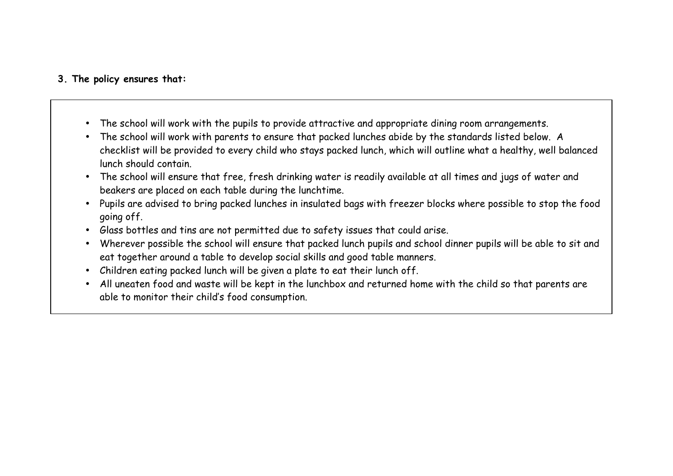# **3. The policy ensures that:**

- The school will work with the pupils to provide attractive and appropriate dining room arrangements.
- The school will work with parents to ensure that packed lunches abide by the standards listed below. A checklist will be provided to every child who stays packed lunch, which will outline what a healthy, well balanced lunch should contain.
- The school will ensure that free, fresh drinking water is readily available at all times and jugs of water and beakers are placed on each table during the lunchtime.
- Pupils are advised to bring packed lunches in insulated bags with freezer blocks where possible to stop the food going off.
- Glass bottles and tins are not permitted due to safety issues that could arise.
- Wherever possible the school will ensure that packed lunch pupils and school dinner pupils will be able to sit and eat together around a table to develop social skills and good table manners.
- Children eating packed lunch will be given a plate to eat their lunch off.
- All uneaten food and waste will be kept in the lunchbox and returned home with the child so that parents are able to monitor their child's food consumption.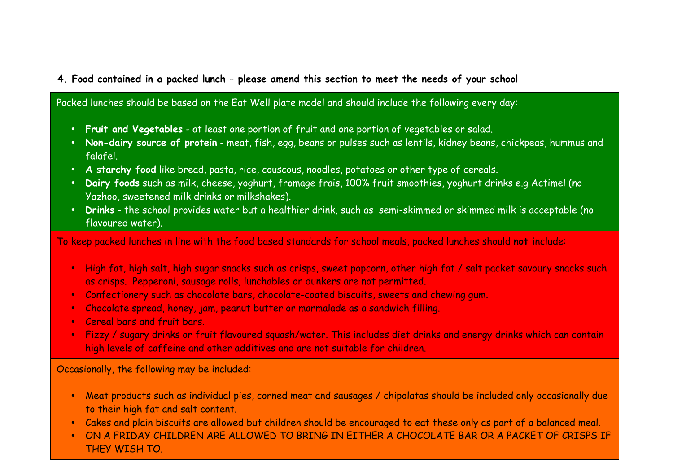# **4. Food contained in a packed lunch – please amend this section to meet the needs of your school**

Packed lunches should be based on the Eat Well plate model and should include the following every day:

- **Fruit and Vegetables** at least one portion of fruit and one portion of vegetables or salad.
- **Non-dairy source of protein** meat, fish, egg, beans or pulses such as lentils, kidney beans, chickpeas, hummus and falafel.
- **A starchy food** like bread, pasta, rice, couscous, noodles, potatoes or other type of cereals.
- **Dairy foods** such as milk, cheese, yoghurt, fromage frais, 100% fruit smoothies, yoghurt drinks e.g Actimel (no Yazhoo, sweetened milk drinks or milkshakes).
- **Drinks** the school provides water but a healthier drink, such as semi-skimmed or skimmed milk is acceptable (no flavoured water).

To keep packed lunches in line with the food based standards for school meals, packed lunches should **not** include:

- High fat, high salt, high sugar snacks such as crisps, sweet popcorn, other high fat / salt packet savoury snacks such as crisps. Pepperoni, sausage rolls, lunchables or dunkers are not permitted.
- Confectionery such as chocolate bars, chocolate-coated biscuits, sweets and chewing gum.
- Chocolate spread, honey, jam, peanut butter or marmalade as a sandwich filling.
- Cereal bars and fruit bars.
- Fizzy / sugary drinks or fruit flavoured squash/water. This includes diet drinks and energy drinks which can contain high levels of caffeine and other additives and are not suitable for children.

Occasionally, the following may be included:

- Meat products such as individual pies, corned meat and sausages / chipolatas should be included only occasionally due to their high fat and salt content.
- Cakes and plain biscuits are allowed but children should be encouraged to eat these only as part of a balanced meal.
- ON A FRIDAY CHILDREN ARE ALLOWED TO BRING IN EITHER A CHOCOLATE BAR OR A PACKET OF CRISPS IF THEY WISH TO.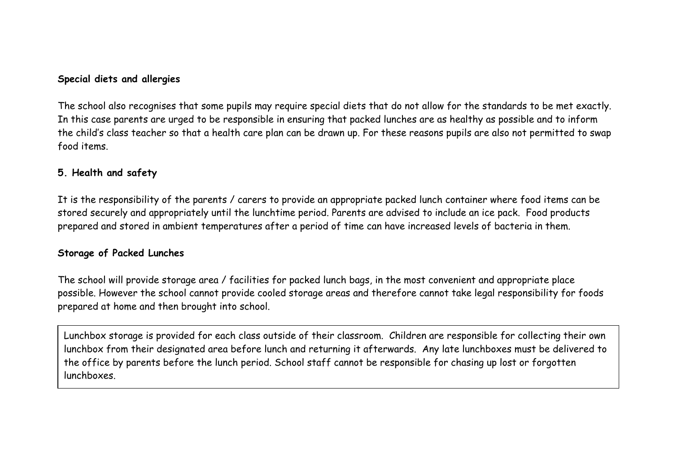#### **Special diets and allergies**

The school also recognises that some pupils may require special diets that do not allow for the standards to be met exactly. In this case parents are urged to be responsible in ensuring that packed lunches are as healthy as possible and to inform the child's class teacher so that a health care plan can be drawn up. For these reasons pupils are also not permitted to swap food items.

#### **5. Health and safety**

It is the responsibility of the parents / carers to provide an appropriate packed lunch container where food items can be stored securely and appropriately until the lunchtime period. Parents are advised to include an ice pack. Food products prepared and stored in ambient temperatures after a period of time can have increased levels of bacteria in them.

#### **Storage of Packed Lunches**

The school will provide storage area / facilities for packed lunch bags, in the most convenient and appropriate place possible. However the school cannot provide cooled storage areas and therefore cannot take legal responsibility for foods prepared at home and then brought into school.

Lunchbox storage is provided for each class outside of their classroom. Children are responsible for collecting their own lunchbox from their designated area before lunch and returning it afterwards. Any late lunchboxes must be delivered to the office by parents before the lunch period. School staff cannot be responsible for chasing up lost or forgotten lunchboxes.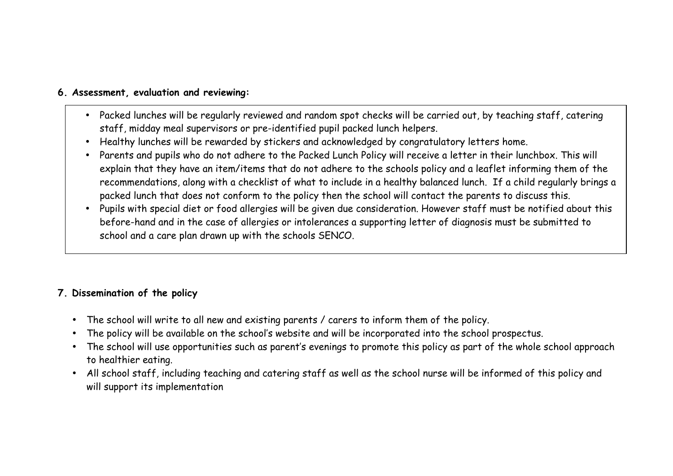# **6. Assessment, evaluation and reviewing:**

- Packed lunches will be regularly reviewed and random spot checks will be carried out, by teaching staff, catering staff, midday meal supervisors or pre-identified pupil packed lunch helpers.
- Healthy lunches will be rewarded by stickers and acknowledged by congratulatory letters home.
- Parents and pupils who do not adhere to the Packed Lunch Policy will receive a letter in their lunchbox. This will explain that they have an item/items that do not adhere to the schools policy and a leaflet informing them of the recommendations, along with a checklist of what to include in a healthy balanced lunch. If a child regularly brings a packed lunch that does not conform to the policy then the school will contact the parents to discuss this.
- Pupils with special diet or food allergies will be given due consideration. However staff must be notified about this before-hand and in the case of allergies or intolerances a supporting letter of diagnosis must be submitted to school and a care plan drawn up with the schools SENCO.

# **7. Dissemination of the policy**

- The school will write to all new and existing parents / carers to inform them of the policy.
- The policy will be available on the school's website and will be incorporated into the school prospectus.
- The school will use opportunities such as parent's evenings to promote this policy as part of the whole school approach to healthier eating.
- All school staff, including teaching and catering staff as well as the school nurse will be informed of this policy and will support its implementation